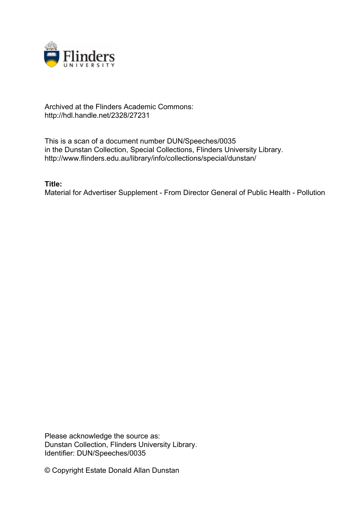

## Archived at the Flinders Academic Commons: http://hdl.handle.net/2328/27231

This is a scan of a document number DUN/Speeches/0035 in the Dunstan Collection, Special Collections, Flinders University Library. http://www.flinders.edu.au/library/info/collections/special/dunstan/

**Title:**

Material for Advertiser Supplement - From Director General of Public Health - Pollution

Please acknowledge the source as: Dunstan Collection, Flinders University Library. Identifier: DUN/Speeches/0035

© Copyright Estate Donald Allan Dunstan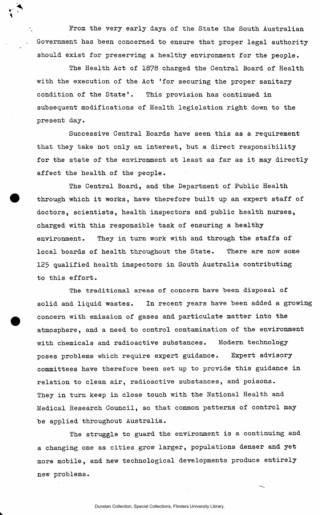From the very early days of the State the South Australian Government has been concerned to ensure that proper legal authority should exist for preserving a healthy environment for the people.

The Health Act of 1878 charged the Central Board of Health with the execution of the Act 'for securing the proper sanitary condition of the State'. This provision has continued in subsequent modifications of Health legislation right down to the present day.

Successive Central Boards have seen this as a requirement that they take not only an interest, but a direct responsibility for the state of the environment at least as far as it may directly affect the health of the people.

The Central Board, and the Department of Public Health through which it works, have therefore built up an expert staff of doctors, scientists, health inspectors and public health nurses, charged with this responsible task of ensuring a healthy environment. They in turn work with and through the staffs of local boards of health throughout the State. There are now some 125 qualified health inspectors in South Australia contributing to this effort.

The traditional areas of concern have been disposal of solid and liquid wastes. In recent years have been added a growing concern with emission of gases and particulate matter into the atmosphere, and a need to control contamination of the environment with chemicals and radioactive substances. Modern technology poses problems which require expert guidance. Expert advisory committees have therefore been set up to provide this guidance in relation to clean air, radioactive substances, and poisons. They in turn keep in close touch with the National Health and Medical Research Council, so that common patterns of control may be applied throughout Australia.

The struggle to guard the environment is a continuing and a changing one as cities grow larger, populations denser and yet more mobile, and new technological developments produce entirely new problems.